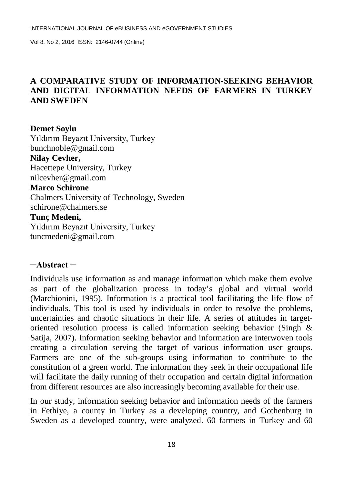# **A COMPARATIVE STUDY OF INFORMATION-SEEKING BEHAVIOR AND DIGITAL INFORMATION NEEDS OF FARMERS IN TURKEY AND SWEDEN**

**Demet Soylu** Yıldırım Beyazıt University, Turkey bunchnoble@gmail.com **Nilay Cevher,** Hacettepe University, Turkey nilcevher@gmail.com **Marco Schirone** Chalmers University of Technology, Sweden schirone@chalmers.se **Tunç Medeni,** Yıldırım Beyazıt University, Turkey [tuncmedeni@gmail.com](mailto:tuncmedeni@gmail.com)

## **─Abstract ─**

Individuals use information as and manage information which make them evolve as part of the globalization process in today's global and virtual world (Marchionini, 1995). Information is a practical tool facilitating the life flow of individuals. This tool is used by individuals in order to resolve the problems, uncertainties and chaotic situations in their life. A series of attitudes in targetoriented resolution process is called information seeking behavior (Singh & Satija, 2007). Information seeking behavior and information are interwoven tools creating a circulation serving the target of various information user groups. Farmers are one of the sub-groups using information to contribute to the constitution of a green world. The information they seek in their occupational life will facilitate the daily running of their occupation and certain digital information from different resources are also increasingly becoming available for their use.

In our study, information seeking behavior and information needs of the farmers in Fethiye, a county in Turkey as a developing country, and Gothenburg in Sweden as a developed country, were analyzed. 60 farmers in Turkey and 60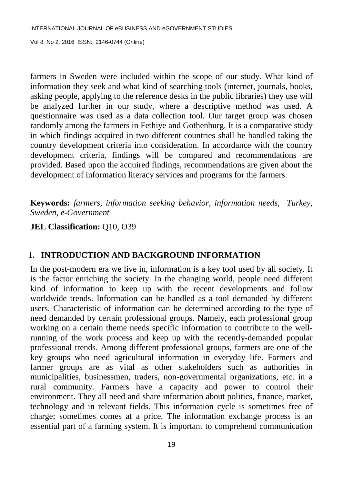INTERNATIONAL JOURNAL OF eBUSINESS AND eGOVERNMENT STUDIES

Vol 8, No 2, 2016 ISSN: 2146-0744 (Online)

farmers in Sweden were included within the scope of our study. What kind of information they seek and what kind of searching tools (internet, journals, books, asking people, applying to the reference desks in the public libraries) they use will be analyzed further in our study, where a descriptive method was used. A questionnaire was used as a data collection tool. Our target group was chosen randomly among the farmers in Fethiye and Gothenburg. It is a comparative study in which findings acquired in two different countries shall be handled taking the country development criteria into consideration. In accordance with the country development criteria, findings will be compared and recommendations are provided. Based upon the acquired findings, recommendations are given about the development of information literacy services and programs for the farmers.

**Keywords:** *farmers, information seeking behavior, information needs, Turkey, Sweden, e-Government* 

#### **JEL Classification:** Q10, O39

## **1. INTRODUCTION AND BACKGROUND INFORMATION**

In the post-modern era we live in, information is a key tool used by all society. It is the factor enriching the society. In the changing world, people need different kind of information to keep up with the recent developments and follow worldwide trends. Information can be handled as a tool demanded by different users. Characteristic of information can be determined according to the type of need demanded by certain professional groups. Namely, each professional group working on a certain theme needs specific information to contribute to the wellrunning of the work process and keep up with the recently-demanded popular professional trends. Among different professional groups, farmers are one of the key groups who need agricultural information in everyday life. Farmers and farmer groups are as vital as other stakeholders such as authorities in municipalities, businessmen, traders, non-governmental organizations, etc. in a rural community. Farmers have a capacity and power to control their environment. They all need and share information about politics, finance, market, technology and in relevant fields. This information cycle is sometimes free of charge; sometimes comes at a price. The information exchange process is an essential part of a farming system. It is important to comprehend communication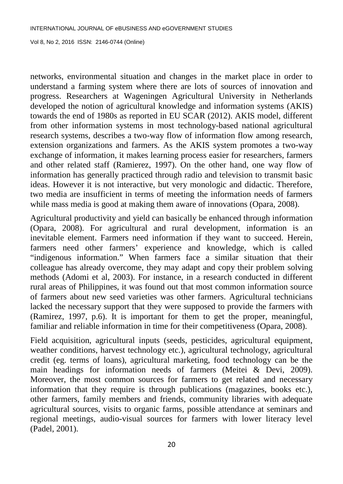networks, environmental situation and changes in the market place in order to understand a farming system where there are lots of sources of innovation and progress. Researchers at Wageningen Agricultural University in Netherlands developed the notion of agricultural knowledge and information systems (AKIS) towards the end of 1980s as reported in EU SCAR (2012). AKIS model, different from other information systems in most technology-based national agricultural research systems, describes a two-way flow of information flow among research, extension organizations and farmers. As the AKIS system promotes a two-way exchange of information, it makes learning process easier for researchers, farmers and other related staff (Ramierez, 1997). On the other hand, one way flow of information has generally practiced through radio and television to transmit basic ideas. However it is not interactive, but very monologic and didactic. Therefore, two media are insufficient in terms of meeting the information needs of farmers while mass media is good at making them aware of innovations (Opara, 2008).

Agricultural productivity and yield can basically be enhanced through information (Opara, 2008). For agricultural and rural development, information is an inevitable element. Farmers need information if they want to succeed. Herein, farmers need other farmers' experience and knowledge, which is called "indigenous information." When farmers face a similar situation that their colleague has already overcome, they may adapt and copy their problem solving methods (Adomi et al, 2003). For instance, in a research conducted in different rural areas of Philippines, it was found out that most common information source of farmers about new seed varieties was other farmers. Agricultural technicians lacked the necessary support that they were supposed to provide the farmers with (Ramirez, 1997, p.6). It is important for them to get the proper, meaningful, familiar and reliable information in time for their competitiveness (Opara, 2008).

Field acquisition, agricultural inputs (seeds, pesticides, agricultural equipment, weather conditions, harvest technology etc.), agricultural technology, agricultural credit (eg. terms of loans), agricultural marketing, food technology can be the main headings for information needs of farmers (Meitei & Devi, 2009). Moreover, the most common sources for farmers to get related and necessary information that they require is through publications (magazines, books etc.), other farmers, family members and friends, community libraries with adequate agricultural sources, visits to organic farms, possible attendance at seminars and regional meetings, audio-visual sources for farmers with lower literacy level (Padel, 2001).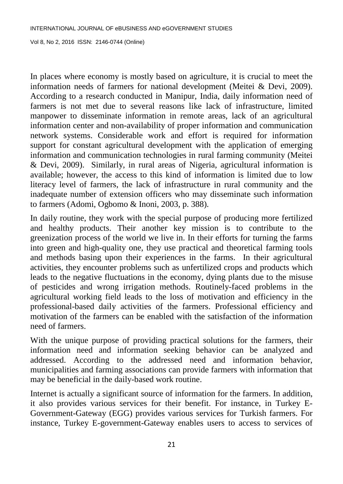In places where economy is mostly based on agriculture, it is crucial to meet the information needs of farmers for national development (Meitei & Devi, 2009). According to a research conducted in Manipur, India, daily information need of farmers is not met due to several reasons like lack of infrastructure, limited manpower to disseminate information in remote areas, lack of an agricultural information center and non-availability of proper information and communication network systems. Considerable work and effort is required for information support for constant agricultural development with the application of emerging information and communication technologies in rural farming community (Meitei & Devi, 2009). Similarly, in rural areas of Nigeria, agricultural information is available; however, the access to this kind of information is limited due to low literacy level of farmers, the lack of infrastructure in rural community and the inadequate number of extension officers who may disseminate such information to farmers (Adomi, Ogbomo & Inoni, 2003, p. 388).

In daily routine, they work with the special purpose of producing more fertilized and healthy products. Their another key mission is to contribute to the greenization process of the world we live in. In their efforts for turning the farms into green and high-quality one, they use practical and theoretical farming tools and methods basing upon their experiences in the farms. In their agricultural activities, they encounter problems such as unfertilized crops and products which leads to the negative fluctuations in the economy, dying plants due to the misuse of pesticides and wrong irrigation methods. Routinely-faced problems in the agricultural working field leads to the loss of motivation and efficiency in the professional-based daily activities of the farmers. Professional efficiency and motivation of the farmers can be enabled with the satisfaction of the information need of farmers.

With the unique purpose of providing practical solutions for the farmers, their information need and information seeking behavior can be analyzed and addressed. According to the addressed need and information behavior, municipalities and farming associations can provide farmers with information that may be beneficial in the daily-based work routine.

Internet is actually a significant source of information for the farmers. In addition, it also provides various services for their benefit. For instance, in Turkey E-Government-Gateway (EGG) provides various services for Turkish farmers. For instance, Turkey E-government-Gateway enables users to access to services of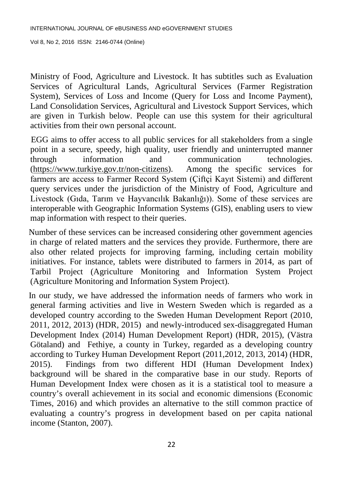Ministry of Food, Agriculture and Livestock. It has subtitles such as Evaluation Services of Agricultural Lands, Agricultural Services (Farmer Registration System), Services of Loss and Income (Query for Loss and Income Payment), Land Consolidation Services, Agricultural and Livestock Support Services, which are given in Turkish below. People can use this system for their agricultural activities from their own personal account.

 EGG aims to offer access to all public services for all stakeholders from a single point in a secure, speedy, high quality, user friendly and uninterrupted manner through information and communication technologies. [\(https://www.turkiye.gov.tr/non-citizens\)](https://www.turkiye.gov.tr/non-citizens). Among the specific services for farmers are access to Farmer Record System (Çiftçi Kayıt Sistemi) and different query services under the jurisdiction of the Ministry of Food, Agriculture and Livestock (Gıda, Tarım ve Hayvancılık Bakanlığı)). Some of these services are interoperable with Geographic Information Systems (GIS), enabling users to view map information with respect to their queries.

 Number of these services can be increased considering other government agencies in charge of related matters and the services they provide. Furthermore, there are also other related projects for improving farming, including certain mobility initiatives. For instance, tablets were distributed to farmers in 2014, as part of Tarbil Project (Agriculture Monitoring and Information System Project (Agriculture Monitoring and Information System Project).

 In our study, we have addressed the information needs of farmers who work in general farming activities and live in Western Sweden which is regarded as a developed country according to the Sweden Human Development Report (2010, 2011, 2012, 2013) (HDR, 2015) and newly-introduced sex-disaggregated Human Development Index (2014) Human Development Report) (HDR, 2015), (Västra Götaland) and Fethiye, a county in Turkey, regarded as a developing country according to Turkey Human Development Report (2011,2012, 2013, 2014) (HDR, 2015). Findings from two different HDI (Human Development Index) background will be shared in the comparative base in our study. Reports of Human Development Index were chosen as it is a statistical tool to measure a country's overall achievement in its social and economic dimensions (Economic Times, 2016) and which provides an alternative to the still common practice of evaluating a country's progress in development based on per capita national income (Stanton, 2007).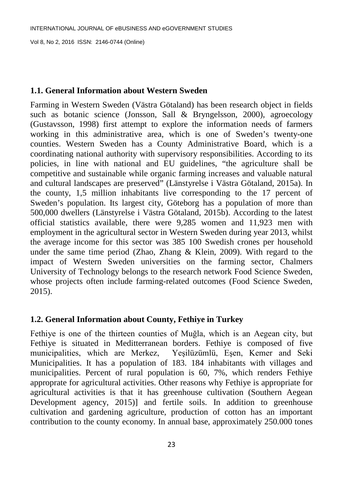## **1.1. General Information about Western Sweden**

Farming in Western Sweden (Västra Götaland) has been research object in fields such as botanic science (Jonsson, Sall & Bryngelsson, 2000), agroecology (Gustavsson, 1998) first attempt to explore the information needs of farmers working in this administrative area, which is one of Sweden's twenty-one counties. Western Sweden has a County Administrative Board, which is a coordinating national authority with supervisory responsibilities. According to its policies, in line with national and EU guidelines, "the agriculture shall be competitive and sustainable while organic farming increases and valuable natural and cultural landscapes are preserved" (Länstyrelse i Västra Götaland, 2015a). In the county, 1,5 million inhabitants live corresponding to the 17 percent of Sweden's population. Its largest city, Göteborg has a population of more than 500,000 dwellers (Länstyrelse i Västra Götaland, 2015b). According to the latest official statistics available, there were 9,285 women and 11,923 men with employment in the agricultural sector in Western Sweden during year 2013, whilst the average income for this sector was 385 100 Swedish crones per household under the same time period (Zhao, Zhang & Klein, 2009). With regard to the impact of Western Sweden universities on the farming sector, Chalmers University of Technology belongs to the research network Food Science Sweden, whose projects often include farming-related outcomes (Food Science Sweden, 2015).

# **1.2. General Information about County, Fethiye in Turkey**

Fethiye is one of the thirteen counties of Muğla, which is an Aegean city, but Fethiye is situated in Meditterranean borders. Fethiye is composed of five municipalities, which are Merkez, Yeşilüzümlü, Eşen, Kemer and Seki Municipalities. It has a population of 183. 184 inhabitants with villages and municipalities. Percent of rural population is 60, 7%, which renders Fethiye approprate for agricultural activities. Other reasons why Fethiye is appropriate for agricultural activities is that it has greenhouse cultivation (Southern Aegean Development agency, 2015)] and fertile soils. In addition to greenhouse cultivation and gardening agriculture, production of cotton has an important contribution to the county economy. In annual base, approximately 250.000 tones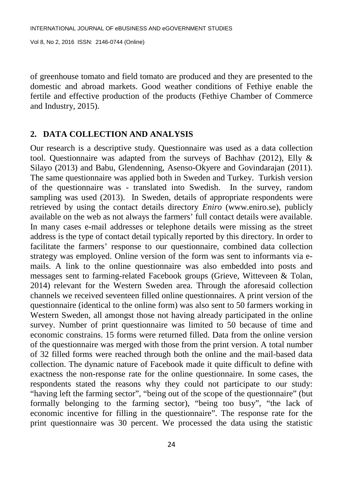of greenhouse tomato and field tomato are produced and they are presented to the domestic and abroad markets. Good weather conditions of Fethiye enable the fertile and effective production of the products (Fethiye Chamber of Commerce and Industry, 2015).

#### **2. DATA COLLECTION AND ANALYSIS**

Our research is a descriptive study. Questionnaire was used as a data collection tool. Questionnaire was adapted from the surveys of Bachhav (2012), Elly & Silayo (2013) and Babu, Glendenning, Asenso-Okyere and Govindarajan (2011). The same questionnaire was applied both in Sweden and Turkey. Turkish version of the questionnaire was - translated into Swedish. In the survey, random sampling was used (2013). In Sweden, details of appropriate respondents were retrieved by using the contact details directory *Eniro* (www.eniro.se), publicly available on the web as not always the farmers' full contact details were available. In many cases e-mail addresses or telephone details were missing as the street address is the type of contact detail typically reported by this directory. In order to facilitate the farmers' response to our questionnaire, combined data collection strategy was employed. Online version of the form was sent to informants via emails. A link to the online questionnaire was also embedded into posts and messages sent to farming-related Facebook groups (Grieve, Witteveen & Tolan, 2014) relevant for the Western Sweden area. Through the aforesaid collection channels we received seventeen filled online questionnaires. A print version of the questionnaire (identical to the online form) was also sent to 50 farmers working in Western Sweden, all amongst those not having already participated in the online survey. Number of print questionnaire was limited to 50 because of time and economic constrains. 15 forms were returned filled. Data from the online version of the questionnaire was merged with those from the print version. A total number of 32 filled forms were reached through both the online and the mail-based data collection. The dynamic nature of Facebook made it quite difficult to define with exactness the non-response rate for the online questionnaire. In some cases, the respondents stated the reasons why they could not participate to our study: "having left the farming sector", "being out of the scope of the questionnaire" (but formally belonging to the farming sector), "being too busy", "the lack of economic incentive for filling in the questionnaire". The response rate for the print questionnaire was 30 percent. We processed the data using the statistic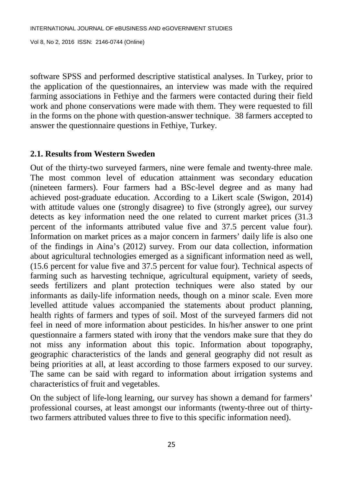software SPSS and performed descriptive statistical analyses. In Turkey, prior to the application of the questionnaires, an interview was made with the required farming associations in Fethiye and the farmers were contacted during their field work and phone conservations were made with them. They were requested to fill in the forms on the phone with question-answer technique. 38 farmers accepted to answer the questionnaire questions in Fethiye, Turkey.

# **2.1. Results from Western Sweden**

Out of the thirty-two surveyed farmers, nine were female and twenty-three male. The most common level of education attainment was secondary education (nineteen farmers). Four farmers had a BSc-level degree and as many had achieved post-graduate education. According to a Likert scale (Swigon, 2014) with attitude values one (strongly disagree) to five (strongly agree), our survey detects as key information need the one related to current market prices (31.3 percent of the informants attributed value five and 37.5 percent value four). Information on market prices as a major concern in farmers' daily life is also one of the findings in Aina's (2012) survey. From our data collection, information about agricultural technologies emerged as a significant information need as well, (15.6 percent for value five and 37.5 percent for value four). Technical aspects of farming such as harvesting technique, agricultural equipment, variety of seeds, seeds fertilizers and plant protection techniques were also stated by our informants as daily-life information needs, though on a minor scale. Even more levelled attitude values accompanied the statements about product planning, health rights of farmers and types of soil. Most of the surveyed farmers did not feel in need of more information about pesticides. In his/her answer to one print questionnaire a farmers stated with irony that the vendors make sure that they do not miss any information about this topic. Information about topography, geographic characteristics of the lands and general geography did not result as being priorities at all, at least according to those farmers exposed to our survey. The same can be said with regard to information about irrigation systems and characteristics of fruit and vegetables.

On the subject of life-long learning, our survey has shown a demand for farmers' professional courses, at least amongst our informants (twenty-three out of thirtytwo farmers attributed values three to five to this specific information need).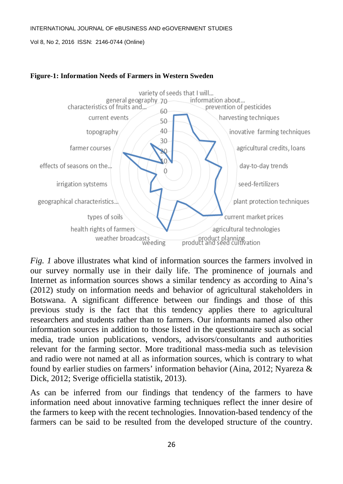#### INTERNATIONAL JOURNAL OF eBUSINESS AND eGOVERNMENT STUDIES

Vol 8, No 2, 2016 ISSN: 2146-0744 (Online)



#### **Figure-1: Information Needs of Farmers in Western Sweden**

*Fig. 1* above illustrates what kind of information sources the farmers involved in our survey normally use in their daily life. The prominence of journals and Internet as information sources shows a similar tendency as according to Aina's (2012) study on information needs and behavior of agricultural stakeholders in Botswana. A significant difference between our findings and those of this previous study is the fact that this tendency applies there to agricultural researchers and students rather than to farmers. Our informants named also other information sources in addition to those listed in the questionnaire such as social media, trade union publications, vendors, advisors/consultants and authorities relevant for the farming sector. More traditional mass-media such as television and radio were not named at all as information sources, which is contrary to what found by earlier studies on farmers' information behavior (Aina, 2012; Nyareza & Dick, 2012; Sverige officiella statistik, 2013).

As can be inferred from our findings that tendency of the farmers to have information need about innovative farming techniques reflect the inner desire of the farmers to keep with the recent technologies. Innovation-based tendency of the farmers can be said to be resulted from the developed structure of the country.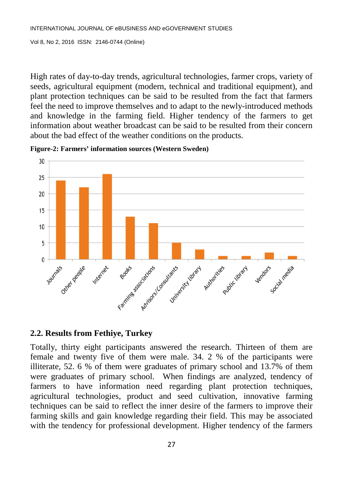High rates of day-to-day trends, agricultural technologies, farmer crops, variety of seeds, agricultural equipment (modern, technical and traditional equipment), and plant protection techniques can be said to be resulted from the fact that farmers feel the need to improve themselves and to adapt to the newly-introduced methods and knowledge in the farming field. Higher tendency of the farmers to get information about weather broadcast can be said to be resulted from their concern about the bad effect of the weather conditions on the products.



**Figure-2: Farmers' information sources (Western Sweden)**

## **2.2. Results from Fethiye, Turkey**

Totally, thirty eight participants answered the research. Thirteen of them are female and twenty five of them were male. 34. 2 % of the participants were illiterate, 52. 6 % of them were graduates of primary school and 13.7% of them were graduates of primary school. When findings are analyzed, tendency of farmers to have information need regarding plant protection techniques, agricultural technologies, product and seed cultivation, innovative farming techniques can be said to reflect the inner desire of the farmers to improve their farming skills and gain knowledge regarding their field. This may be associated with the tendency for professional development. Higher tendency of the farmers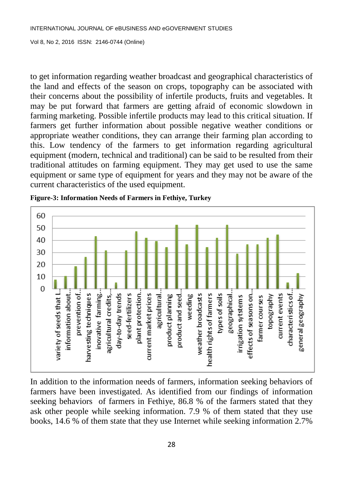to get information regarding weather broadcast and geographical characteristics of the land and effects of the season on crops, topography can be associated with their concerns about the possibility of infertile products, fruits and vegetables. It may be put forward that farmers are getting afraid of economic slowdown in farming marketing. Possible infertile products may lead to this critical situation. If farmers get further information about possible negative weather conditions or appropriate weather conditions, they can arrange their farming plan according to this. Low tendency of the farmers to get information regarding agricultural equipment (modern, technical and traditional) can be said to be resulted from their traditional attitudes on farming equipment. They may get used to use the same equipment or same type of equipment for years and they may not be aware of the current characteristics of the used equipment.



**Figure-3: Information Needs of Farmers in Fethiye, Turkey**

In addition to the information needs of farmers, information seeking behaviors of farmers have been investigated. As identified from our findings of information seeking behaviors of farmers in Fethiye, 86.8 % of the farmers stated that they ask other people while seeking information. 7.9 % of them stated that they use books, 14.6 % of them state that they use Internet while seeking information 2.7%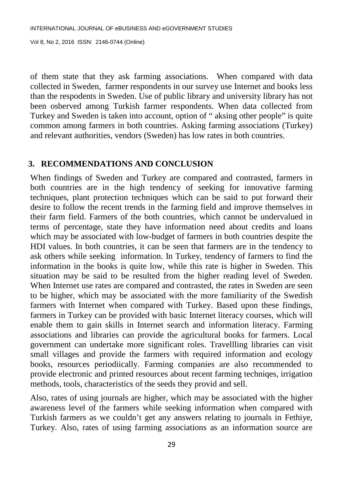of them state that they ask farming associations. When compared with data collected in Sweden, farmer respondents in our survey use Internet and books less than the respodents in Sweden. Use of public library and university library has not been osberved among Turkish farmer respondents. When data collected from Turkey and Sweden is taken into account, option of " aksing other people" is quite common among farmers in both countries. Asking farming associations (Turkey) and relevant authorities, vendors (Sweden) has low rates in both countries.

#### **3. RECOMMENDATIONS AND CONCLUSION**

When findings of Sweden and Turkey are compared and contrasted, farmers in both countries are in the high tendency of seeking for innovative farming techniques, plant protection techniques which can be said to put forward their desire to follow the recent trends in the farming field and improve themselves in their farm field. Farmers of the both countries, which cannot be undervalued in terms of percentage, state they have information need about credits and loans which may be associated with low-budget of farmers in both countries despite the HDI values. In both countries, it can be seen that farmers are in the tendency to ask others while seeking information. In Turkey, tendency of farmers to find the information in the books is quite low, while this rate is higher in Sweden. This situation may be said to be resulted from the higher reading level of Sweden. When Internet use rates are compared and contrasted, the rates in Sweden are seen to be higher, which may be associated with the more familiarity of the Swedish farmers with Internet when compared with Turkey. Based upon these findings, farmers in Turkey can be provided with basic Internet literacy courses, which will enable them to gain skills in Internet search and information literacy. Farming associations and libraries can provide the agricultural books for farmers. Local government can undertake more significant roles. Travellling libraries can visit small villages and provide the farmers with required information and ecology books, resources periodiically. Farming companies are also recommended to provide electronic and printed resources about recent farming techniqes, irrigation methods, tools, characteristics of the seeds they provid and sell.

Also, rates of using journals are higher, which may be associated with the higher awareness level of the farmers while seeking information when compared with Turkish farmers as we couldn't get any answers relating to journals in Fethiye, Turkey. Also, rates of using farming associations as an information source are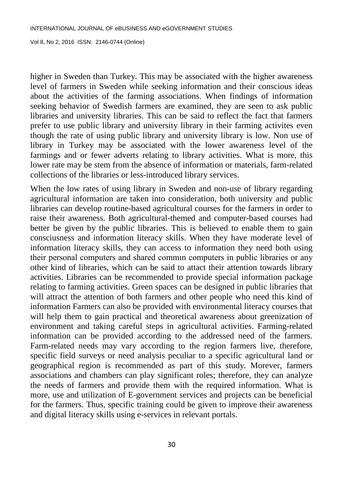higher in Sweden than Turkey. This may be associated with the higher awareness level of farmers in Sweden while seeking information and their conscious ideas about the activities of the farming associations. When findings of information seeking behavior of Swedish farmers are examined, they are seen to ask public libraries and university libraries. This can be said to reflect the fact that farmers prefer to use public library and university library in their farming activites even though the rate of using public library and university library is low. Non use of library in Turkey may be associated with the lower awareness level of the farmings and or fewer adverts relating to library activities. What is more, this lower rate may be stem from the absence of information or materials, farm-related collections of the libraries or less-introduced library services.

When the low rates of using library in Sweden and non-use of library regarding agricultural information are taken into consideration, both university and public libraries can develop routine-based agricultural courses for the farmers in order to raise their awareness. Both agricultural-themed and computer-based courses had better be given by the public libraries. This is believed to enable them to gain consciusness and information literacy skills. When they have moderate level of information literacy skills, they can access to information they need both using their personal computers and shared commın computers in public libraries or any other kind of libraries, which can be said to attact their attention towards library activities. Libraries can be recommended to provide special information package relating to farming activities. Green spaces can be designed in public libraries that will attract the attention of both farmers and other people who need this kind of information Farmers can also be provided with environmental literacy courses that will help them to gain practical and theoretical awareness about greenization of environment and taking careful steps in agricultural activities. Farming-related information can be provided according to the addressed need of the farmers. Farm-related needs may vary according to the region farmers live, therefore, specific field surveys or need analysis peculiar to a specific agricultural land or geographical region is recommended as part of this study. Morever, farmers associations and chambers can play significant roles; therefore, they can analyze the needs of farmers and provide them with the required information. What is more, use and utilization of E-government services and projects can be beneficial for the farmers. Thus, specific training could be given to improve their awareness and digital literacy skills using e-services in relevant portals.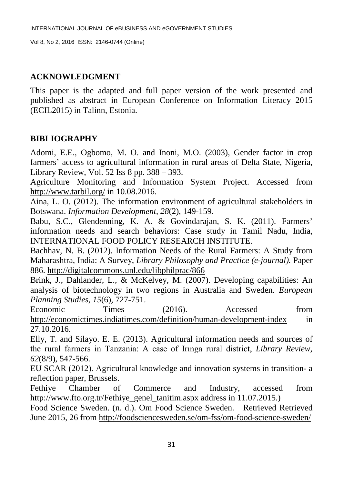## **ACKNOWLEDGMENT**

This paper is the adapted and full paper version of the work presented and published as abstract in European Conference on Information Literacy 2015 (ECIL2015) in Talinn, Estonia.

## **BIBLIOGRAPHY**

Adomi, E.E., Ogbomo, M. O. and Inoni, M.O. (2003), Gender factor in crop farmers' access to agricultural information in rural areas of Delta State, Nigeria, Library Review, Vol. 52 Iss 8 pp. 388 – 393.

Agriculture Monitoring and Information System Project. Accessed from <http://www.tarbil.org/> in 10.08.2016.

Aina, L. O. (2012). The information environment of agricultural stakeholders in Botswana. *Information Development, 28*(2), 149-159.

Babu, S.C., Glendenning, K. A. & Govindarajan, S. K. (2011). Farmers' information needs and search behaviors: Case study in Tamil Nadu, India, INTERNATIONAL FOOD POLICY RESEARCH INSTITUTE.

Bachhav, N. B. (2012). Information Needs of the Rural Farmers: A Study from Maharashtra, India: A Survey, *Library Philosophy and Practice (e-journal).* Paper 886.<http://digitalcommons.unl.edu/libphilprac/866>

Brink, J., Dahlander, L., & McKelvey, M. (2007). Developing capabilities: An analysis of biotechnology in two regions in Australia and Sweden. *European Planning Studies, 15*(6), 727-751.

Economic Times (2016). Accessed from <http://economictimes.indiatimes.com/definition/human-development-index> in 27.10.2016.

Elly, T. and Silayo. E. E. (2013). Agricultural information needs and sources of the rural farmers in Tanzania: A case of Irınga rural district, *Library Review, 62*(8/9), 547-566.

EU SCAR (2012). Agricultural knowledge and innovation systems in transition- a reflection paper, Brussels.

Fethiye Chamber of Commerce and Industry, accessed from [http://www.fto.org.tr/Fethiye\\_genel\\_tanitim.aspx address in 11.07.2015.](http://www.fto.org.tr/Fethiye_genel_tanitim.aspx%20address%20in%2011.07.2015))

Food Science Sweden. (n. d.). Om Food Science Sweden. Retrieved Retrieved June 2015, 26 from<http://foodsciencesweden.se/om-fss/om-food-science-sweden/>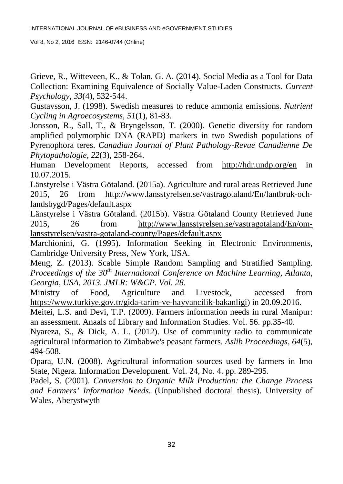Grieve, R., Witteveen, K., & Tolan, G. A. (2014). Social Media as a Tool for Data Collection: Examining Equivalence of Socially Value-Laden Constructs. *Current Psychology, 33*(4), 532-544.

Gustavsson, J. (1998). Swedish measures to reduce ammonia emissions. *Nutrient Cycling in Agroecosystems, 51*(1), 81-83.

Jonsson, R., Sall, T., & Bryngelsson, T. (2000). Genetic diversity for random amplified polymorphic DNA (RAPD) markers in two Swedish populations of Pyrenophora teres. *Canadian Journal of Plant Pathology-Revue Canadienne De Phytopathologie, 22*(3), 258-264.

Human Development Reports, accessed from <http://hdr.undp.org/en> in 10.07.2015.

Länstyrelse i Västra Götaland. (2015a). Agriculture and rural areas Retrieved June 2015, 26 from http://www.lansstyrelsen.se/vastragotaland/En/lantbruk-ochlandsbygd/Pages/default.aspx

Länstyrelse i Västra Götaland. (2015b). Västra Götaland County Retrieved June 2015, 26 from [http://www.lansstyrelsen.se/vastragotaland/En/om](http://www.lansstyrelsen.se/vastragotaland/En/om-lansstyrelsen/vastra-gotaland-county/Pages/default.aspx)[lansstyrelsen/vastra-gotaland-county/Pages/default.aspx](http://www.lansstyrelsen.se/vastragotaland/En/om-lansstyrelsen/vastra-gotaland-county/Pages/default.aspx)

Marchionini, G. (1995). Information Seeking in Electronic Environments, Cambridge University Press, New York, USA.

Meng, Z. (2013). Scable Simple Random Sampling and Stratified Sampling. *Proceedings of the 30<sup>th</sup> International Conference on Machine Learning, Atlanta, Georgia, USA, 2013. JMLR: W&CP. Vol. 28.*

Ministry of Food, Agriculture and Livestock, accessed from [https://www.turkiye.gov.tr/gida-tarim-ve-hayvancilik-bakanligi\)](https://www.turkiye.gov.tr/gida-tarim-ve-hayvancilik-bakanligi) in 20.09.2016.

Meitei, L.S. and Devi, T.P. (2009). Farmers information needs in rural Manipur: an assessment. Anaals of Library and Information Studies. Vol. 56. pp.35-40.

Nyareza, S., & Dick, A. L. (2012). Use of community radio to communicate agricultural information to Zimbabwe's peasant farmers. *Aslib Proceedings, 64*(5), 494-508.

Opara, U.N. (2008). Agricultural information sources used by farmers in Imo State, Nigera. Information Development. Vol. 24, No. 4. pp. 289-295.

Padel, S. (2001). *Conversion to Organic Milk Production: the Change Process and Farmers' Information Needs.* (Unpublished doctoral thesis). University of Wales, Aberystwyth